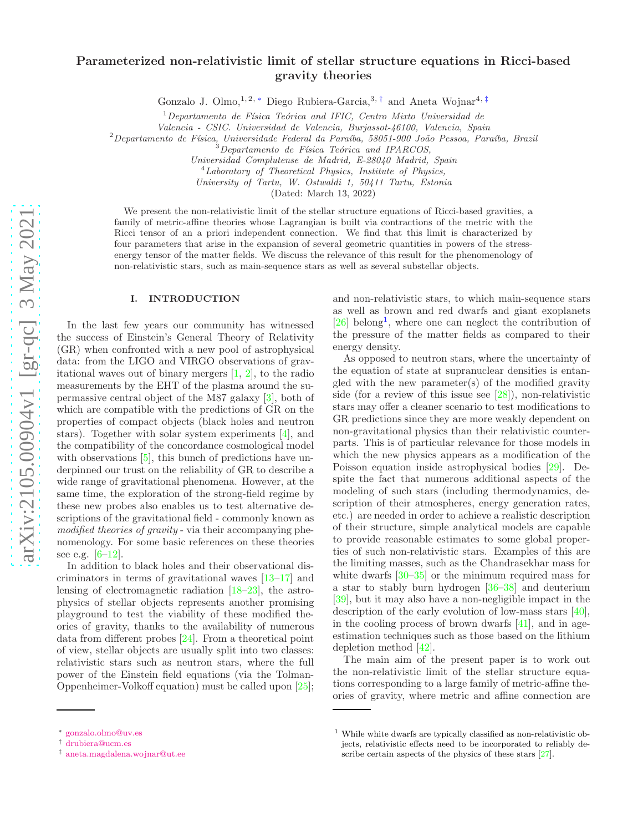# Parameterized non-relativistic limit of stellar structure equations in Ricci-based gravity theories

Gonzalo J. Olmo,<sup>1, 2, \*</sup> Diego Rubiera-Garcia,<sup>3,[†](#page-0-1)</sup> and Aneta Wojnar<sup>4,[‡](#page-0-2)</sup>

<sup>1</sup>Departamento de Física Teórica and IFIC, Centro Mixto Universidad de

*Valencia - CSIC. Universidad de Valencia, Burjassot-46100, Valencia, Spain*

<sup>2</sup>*Departamento de F´ısica, Universidade Federal da Para´ıba, 58051-900 Jo˜ao Pessoa, Para´ıba, Brazil*

*Universidad Complutense de Madrid, E-28040 Madrid, Spain*

<sup>4</sup>*Laboratory of Theoretical Physics, Institute of Physics,*

*University of Tartu, W. Ostwaldi 1, 50411 Tartu, Estonia*

(Dated: March 13, 2022)

We present the non-relativistic limit of the stellar structure equations of Ricci-based gravities, a family of metric-affine theories whose Lagrangian is built via contractions of the metric with the Ricci tensor of an a priori independent connection. We find that this limit is characterized by four parameters that arise in the expansion of several geometric quantities in powers of the stressenergy tensor of the matter fields. We discuss the relevance of this result for the phenomenology of non-relativistic stars, such as main-sequence stars as well as several substellar objects.

#### I. INTRODUCTION

In the last few years our community has witnessed the success of Einstein's General Theory of Relativity (GR) when confronted with a new pool of astrophysical data: from the LIGO and VIRGO observations of gravitational waves out of binary mergers [\[1,](#page-6-0) [2\]](#page-6-1), to the radio measurements by the EHT of the plasma around the supermassive central object of the M87 galaxy [\[3\]](#page-6-2), both of which are compatible with the predictions of GR on the properties of compact objects (black holes and neutron stars). Together with solar system experiments [\[4\]](#page-6-3), and the compatibility of the concordance cosmological model with observations [\[5](#page-6-4)], this bunch of predictions have underpinned our trust on the reliability of GR to describe a wide range of gravitational phenomena. However, at the same time, the exploration of the strong-field regime by these new probes also enables us to test alternative descriptions of the gravitational field - commonly known as modified theories of gravity - via their accompanying phenomenology. For some basic references on these theories see e.g.  $[6-12]$ .

In addition to black holes and their observational discriminators in terms of gravitational waves [\[13](#page-6-7)[–17](#page-6-8)] and lensing of electromagnetic radiation [\[18](#page-6-9)[–23\]](#page-6-10), the astrophysics of stellar objects represents another promising playground to test the viability of these modified theories of gravity, thanks to the availability of numerous data from different probes [\[24](#page-6-11)]. From a theoretical point of view, stellar objects are usually split into two classes: relativistic stars such as neutron stars, where the full power of the Einstein field equations (via the Tolman-Oppenheimer-Volkoff equation) must be called upon [\[25\]](#page-6-12);

and non-relativistic stars, to which main-sequence stars as well as brown and red dwarfs and giant exoplanets [\[26\]](#page-6-13) belong<sup>[1](#page-0-3)</sup>, where one can neglect the contribution of the pressure of the matter fields as compared to their energy density.

As opposed to neutron stars, where the uncertainty of the equation of state at supranuclear densities is entangled with the new parameter(s) of the modified gravity side (for a review of this issue see [\[28\]](#page-6-14)), non-relativistic stars may offer a cleaner scenario to test modifications to GR predictions since they are more weakly dependent on non-gravitational physics than their relativistic counterparts. This is of particular relevance for those models in which the new physics appears as a modification of the Poisson equation inside astrophysical bodies [\[29\]](#page-6-15). Despite the fact that numerous additional aspects of the modeling of such stars (including thermodynamics, description of their atmospheres, energy generation rates, etc.) are needed in order to achieve a realistic description of their structure, simple analytical models are capable to provide reasonable estimates to some global properties of such non-relativistic stars. Examples of this are the limiting masses, such as the Chandrasekhar mass for white dwarfs [\[30](#page-6-16)[–35](#page-6-17)] or the minimum required mass for a star to stably burn hydrogen [\[36](#page-6-18)[–38\]](#page-6-19) and deuterium [\[39\]](#page-6-20), but it may also have a non-negligible impact in the description of the early evolution of low-mass stars [\[40\]](#page-6-21), in the cooling process of brown dwarfs  $[41]$ , and in ageestimation techniques such as those based on the lithium depletion method [\[42](#page-6-23)].

The main aim of the present paper is to work out the non-relativistic limit of the stellar structure equations corresponding to a large family of metric-affine theories of gravity, where metric and affine connection are

 $\overline{3}$ Departamento de Física Teórica<sup>'</sup> and IPARCOS,

<span id="page-0-0"></span><sup>∗</sup> [gonzalo.olmo@uv.es](mailto:gonzalo.olmo@uv.es)

<span id="page-0-1"></span><sup>†</sup> [drubiera@ucm.es](mailto:drubiera@ucm.es)

<span id="page-0-2"></span><sup>‡</sup> [aneta.magdalena.wojnar@ut.ee](mailto:aneta.magdalena.wojnar@ut.ee)

<span id="page-0-3"></span><sup>1</sup> While white dwarfs are typically classified as non-relativistic objects, relativistic effects need to be incorporated to reliably describe certain aspects of the physics of these stars [\[27](#page-6-24)].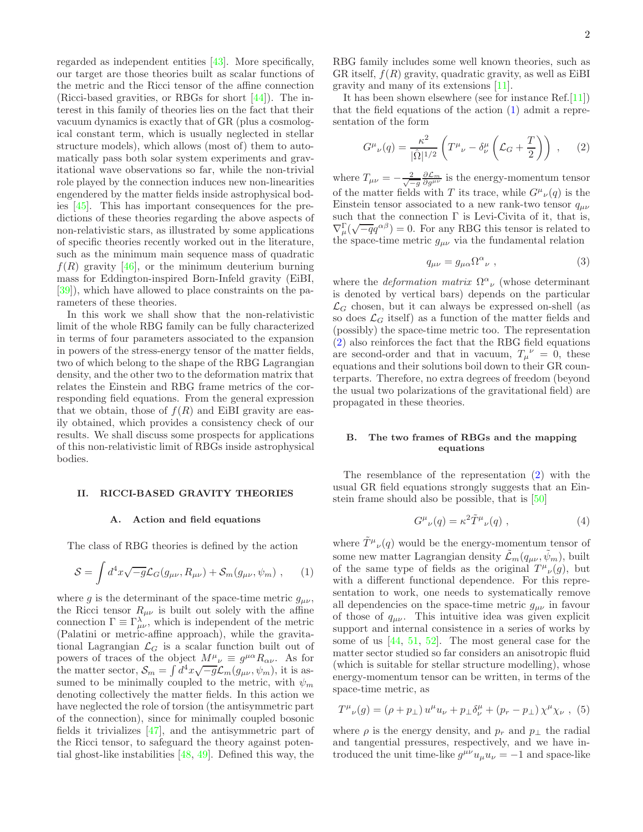regarded as independent entities [\[43\]](#page-6-25). More specifically, our target are those theories built as scalar functions of the metric and the Ricci tensor of the affine connection (Ricci-based gravities, or RBGs for short [\[44](#page-6-26)]). The interest in this family of theories lies on the fact that their vacuum dynamics is exactly that of GR (plus a cosmological constant term, which is usually neglected in stellar structure models), which allows (most of) them to automatically pass both solar system experiments and gravitational wave observations so far, while the non-trivial role played by the connection induces new non-linearities engendered by the matter fields inside astrophysical bodies [\[45](#page-6-27)]. This has important consequences for the predictions of these theories regarding the above aspects of non-relativistic stars, as illustrated by some applications of specific theories recently worked out in the literature, such as the minimum main sequence mass of quadratic  $f(R)$  gravity [\[46\]](#page-6-28), or the minimum deuterium burning mass for Eddington-inspired Born-Infeld gravity (EiBI, [\[39\]](#page-6-20)), which have allowed to place constraints on the parameters of these theories.

In this work we shall show that the non-relativistic limit of the whole RBG family can be fully characterized in terms of four parameters associated to the expansion in powers of the stress-energy tensor of the matter fields, two of which belong to the shape of the RBG Lagrangian density, and the other two to the deformation matrix that relates the Einstein and RBG frame metrics of the corresponding field equations. From the general expression that we obtain, those of  $f(R)$  and EiBI gravity are easily obtained, which provides a consistency check of our results. We shall discuss some prospects for applications of this non-relativistic limit of RBGs inside astrophysical bodies.

## II. RICCI-BASED GRAVITY THEORIES

#### A. Action and field equations

The class of RBG theories is defined by the action

<span id="page-1-0"></span>
$$
S = \int d^4x \sqrt{-g} \mathcal{L}_G(g_{\mu\nu}, R_{\mu\nu}) + \mathcal{S}_m(g_{\mu\nu}, \psi_m) , \qquad (1)
$$

where g is the determinant of the space-time metric  $g_{\mu\nu}$ , the Ricci tensor  $R_{\mu\nu}$  is built out solely with the affine connection  $\Gamma \equiv \Gamma_{\mu\nu}^{\lambda}$ , which is independent of the metric (Palatini or metric-affine approach), while the gravitational Lagrangian  $\mathcal{L}_G$  is a scalar function built out of powers of traces of the object  $M^{\mu\nu}_{\nu} \equiv g^{\mu\alpha} R_{\alpha\nu}$ . As for the matter sector,  $S_m = \int d^4x \sqrt{-g} \mathcal{L}_m(g_{\mu\nu}, \psi_m)$ , it is assumed to be minimally coupled to the metric, with  $\psi_m$ denoting collectively the matter fields. In this action we have neglected the role of torsion (the antisymmetric part of the connection), since for minimally coupled bosonic fields it trivializes [\[47\]](#page-6-29), and the antisymmetric part of the Ricci tensor, to safeguard the theory against potential ghost-like instabilities [\[48](#page-6-30), [49\]](#page-6-31). Defined this way, the RBG family includes some well known theories, such as GR itself,  $f(R)$  gravity, quadratic gravity, as well as EiBI gravity and many of its extensions [\[11](#page-6-32)].

It has been shown elsewhere (see for instance Ref.[\[11](#page-6-32)]) that the field equations of the action [\(1\)](#page-1-0) admit a representation of the form

<span id="page-1-1"></span>
$$
G^{\mu}{}_{\nu}(q) = \frac{\kappa^2}{|\hat{\Omega}|^{1/2}} \left( T^{\mu}{}_{\nu} - \delta^{\mu}_{\nu} \left( \mathcal{L}_G + \frac{T}{2} \right) \right) , \quad (2)
$$

where  $T_{\mu\nu} = -\frac{2}{\sqrt{-g}} \frac{\partial \mathcal{L}_m}{\partial g^{\mu\nu}}$  is the energy-momentum tensor of the matter fields with T its trace, while  $G^{\mu}{}_{\nu}(q)$  is the Einstein tensor associated to a new rank-two tensor  $q_{\mu\nu}$ such that the connection  $\Gamma$  is Levi-Civita of it, that is,  $\nabla^{\Gamma}_{\mu}(\sqrt{-q}q^{\alpha\beta})=0.$  For any RBG this tensor is related to the space-time metric  $g_{\mu\nu}$  via the fundamental relation

<span id="page-1-3"></span>
$$
q_{\mu\nu} = g_{\mu\alpha} \Omega^{\alpha}{}_{\nu} , \qquad (3)
$$

where the *deformation matrix*  $\Omega^{\alpha}{}_{\nu}$  (whose determinant is denoted by vertical bars) depends on the particular  $\mathcal{L}_G$  chosen, but it can always be expressed on-shell (as so does  $\mathcal{L}_G$  itself) as a function of the matter fields and (possibly) the space-time metric too. The representation [\(2\)](#page-1-1) also reinforces the fact that the RBG field equations are second-order and that in vacuum,  $T_{\mu}^{\nu} = 0$ , these equations and their solutions boil down to their GR counterparts. Therefore, no extra degrees of freedom (beyond the usual two polarizations of the gravitational field) are propagated in these theories.

# B. The two frames of RBGs and the mapping equations

The resemblance of the representation [\(2\)](#page-1-1) with the usual GR field equations strongly suggests that an Einstein frame should also be possible, that is [\[50\]](#page-6-33)

<span id="page-1-2"></span>
$$
G^{\mu}{}_{\nu}(q) = \kappa^2 \tilde{T}^{\mu}{}_{\nu}(q) , \qquad (4)
$$

where  $\tilde{T}^{\mu}{}_{\nu}(q)$  would be the energy-momentum tensor of some new matter Lagrangian density  $\mathcal{\tilde{L}}_m(q_{\mu\nu}, \tilde{\psi}_m)$ , built of the same type of fields as the original  $T^{\mu}{}_{\nu}(g)$ , but with a different functional dependence. For this representation to work, one needs to systematically remove all dependencies on the space-time metric  $g_{\mu\nu}$  in favour of those of  $q_{\mu\nu}$ . This intuitive idea was given explicit support and internal consistence in a series of works by some of us  $[44, 51, 52]$  $[44, 51, 52]$  $[44, 51, 52]$  $[44, 51, 52]$ . The most general case for the matter sector studied so far considers an anisotropic fluid (which is suitable for stellar structure modelling), whose energy-momentum tensor can be written, in terms of the space-time metric, as

$$
T^{\mu}{}_{\nu}(g) = (\rho + p_{\perp}) u^{\mu} u_{\nu} + p_{\perp} \delta^{\mu}_{\nu} + (p_r - p_{\perp}) \chi^{\mu} \chi_{\nu} , (5)
$$

where  $\rho$  is the energy density, and  $p_r$  and  $p_\perp$  the radial and tangential pressures, respectively, and we have introduced the unit time-like  $g^{\mu\nu}u_{\mu}u_{\nu} = -1$  and space-like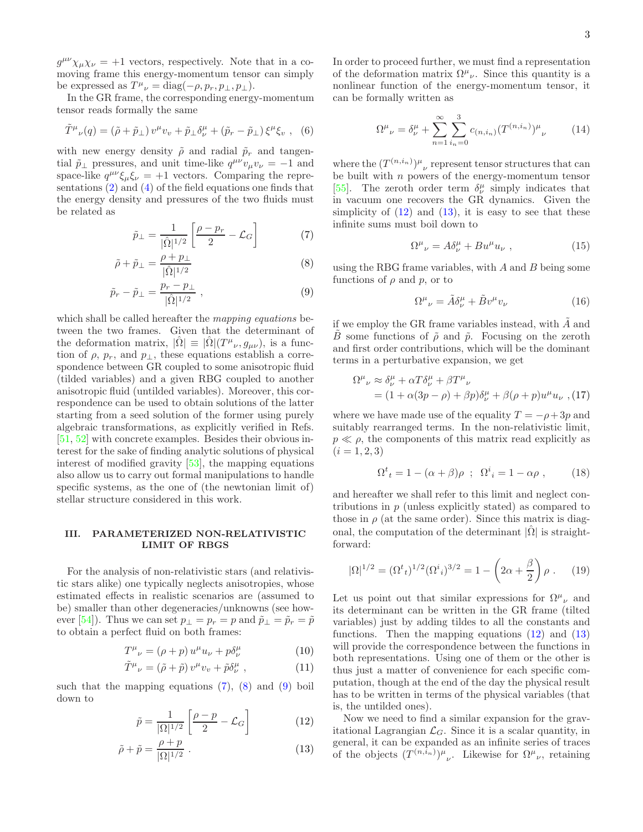$g^{\mu\nu}\chi_{\mu}\chi_{\nu} = +1$  vectors, respectively. Note that in a comoving frame this energy-momentum tensor can simply be expressed as  $T^{\mu}{}_{\nu} = \text{diag}(-\rho, p_r, p_{\perp}, p_{\perp}).$ 

In the GR frame, the corresponding energy-momentum tensor reads formally the same

$$
\tilde{T}^{\mu}{}_{\nu}(q) = (\tilde{\rho} + \tilde{p}_{\perp}) v^{\mu} v_{v} + \tilde{p}_{\perp} \delta^{\mu}_{\nu} + (\tilde{p}_{r} - \tilde{p}_{\perp}) \xi^{\mu} \xi_{v} , \quad (6)
$$

with new energy density  $\tilde{\rho}$  and radial  $\tilde{p}_r$  and tangential  $\tilde{p}_{\perp}$  pressures, and unit time-like  $q^{\mu\nu}v_{\mu}v_{\nu} = -1$  and space-like  $q^{\mu\nu}\xi_{\mu}\xi_{\nu} = +1$  vectors. Comparing the representations [\(2\)](#page-1-1) and [\(4\)](#page-1-2) of the field equations one finds that the energy density and pressures of the two fluids must be related as

<span id="page-2-0"></span>
$$
\tilde{p}_{\perp} = \frac{1}{|\hat{\Omega}|^{1/2}} \left[ \frac{\rho - p_r}{2} - \mathcal{L}_G \right] \tag{7}
$$

$$
\tilde{\rho} + \tilde{p}_{\perp} = \frac{\rho + p_{\perp}}{|\hat{\Omega}|^{1/2}} \tag{8}
$$

$$
\tilde{p}_r - \tilde{p}_\perp = \frac{p_r - p_\perp}{|\hat{\Omega}|^{1/2}} \,, \tag{9}
$$

which shall be called hereafter the *mapping equations* between the two frames. Given that the determinant of the deformation matrix,  $|\hat{\Omega}| \equiv |\hat{\Omega}|(T^{\mu}{}_{\nu}, g_{\mu\nu}),$  is a function of  $\rho$ ,  $p_r$ , and  $p_\perp$ , these equations establish a correspondence between GR coupled to some anisotropic fluid (tilded variables) and a given RBG coupled to another anisotropic fluid (untilded variables). Moreover, this correspondence can be used to obtain solutions of the latter starting from a seed solution of the former using purely algebraic transformations, as explicitly verified in Refs. [\[51,](#page-6-34) [52](#page-6-35)] with concrete examples. Besides their obvious interest for the sake of finding analytic solutions of physical interest of modified gravity [\[53\]](#page-6-36), the mapping equations also allow us to carry out formal manipulations to handle specific systems, as the one of (the newtonian limit of) stellar structure considered in this work.

## III. PARAMETERIZED NON-RELATIVISTIC LIMIT OF RBGS

For the analysis of non-relativistic stars (and relativistic stars alike) one typically neglects anisotropies, whose estimated effects in realistic scenarios are (assumed to be) smaller than other degeneracies/unknowns (see how-ever [\[54](#page-6-37)]). Thus we can set  $p_{\perp} = p_r = p$  and  $\tilde{p}_{\perp} = \tilde{p}_r = \tilde{p}$ to obtain a perfect fluid on both frames:

<span id="page-2-2"></span>
$$
T^{\mu}_{\ \nu} = (\rho + p) u^{\mu} u_{\nu} + p \delta^{\mu}_{\nu} \tag{10}
$$

$$
\tilde{T}^{\mu}{}_{\nu} = (\tilde{\rho} + \tilde{p}) v^{\mu} v_{v} + \tilde{p} \delta^{\mu}_{\nu} , \qquad (11)
$$

such that the mapping equations  $(7)$ ,  $(8)$  and  $(9)$  boil down to

<span id="page-2-1"></span>
$$
\tilde{p} = \frac{1}{|\Omega|^{1/2}} \left[ \frac{\rho - p}{2} - \mathcal{L}_G \right] \tag{12}
$$

$$
\tilde{\rho} + \tilde{p} = \frac{\rho + p}{|\Omega|^{1/2}} \ . \tag{13}
$$

In order to proceed further, we must find a representation of the deformation matrix  $\Omega^{\mu}{}_{\nu}$ . Since this quantity is a nonlinear function of the energy-momentum tensor, it can be formally written as

$$
\Omega^{\mu}{}_{\nu} = \delta^{\mu}_{\nu} + \sum_{n=1}^{\infty} \sum_{i_n=0}^{3} c_{(n,i_n)} (T^{(n,i_n)})^{\mu}{}_{\nu}
$$
 (14)

where the  $(T^{(n,i_n)})^{\mu}{}_{\nu}$  represent tensor structures that can be built with  $n$  powers of the energy-momentum tensor [\[55\]](#page-6-38). The zeroth order term  $\delta^{\mu}_{\nu}$  simply indicates that in vacuum one recovers the GR dynamics. Given the simplicity of  $(12)$  and  $(13)$ , it is easy to see that these infinite sums must boil down to

$$
\Omega^{\mu}{}_{\nu} = A \delta^{\mu}_{\nu} + B u^{\mu} u_{\nu} \ , \qquad (15)
$$

using the RBG frame variables, with  $A$  and  $B$  being some functions of  $\rho$  and  $p$ , or to

$$
\Omega^{\mu}{}_{\nu} = \tilde{A}\delta^{\mu}_{\nu} + \tilde{B}v^{\mu}v_{\nu} \tag{16}
$$

if we employ the GR frame variables instead, with  $\tilde{A}$  and B some functions of  $\tilde{\rho}$  and  $\tilde{p}$ . Focusing on the zeroth and first order contributions, which will be the dominant terms in a perturbative expansion, we get

<span id="page-2-5"></span>
$$
\Omega^{\mu}{}_{\nu} \approx \delta^{\mu}_{\nu} + \alpha T \delta^{\mu}_{\nu} + \beta T^{\mu}{}_{\nu}
$$
  
=  $(1 + \alpha (3p - \rho) + \beta p) \delta^{\mu}_{\nu} + \beta (\rho + p) u^{\mu} u_{\nu}$ , (17)

where we have made use of the equality  $T = -\rho + 3p$  and suitably rearranged terms. In the non-relativistic limit,  $p \ll \rho$ , the components of this matrix read explicitly as  $(i = 1, 2, 3)$ 

<span id="page-2-4"></span>
$$
\Omega^t{}_t = 1 - (\alpha + \beta)\rho \ ; \ \Omega^i{}_i = 1 - \alpha\rho \ , \tag{18}
$$

and hereafter we shall refer to this limit and neglect contributions in p (unless explicitly stated) as compared to those in  $\rho$  (at the same order). Since this matrix is diagonal, the computation of the determinant  $|\Omega|$  is straightforward:

<span id="page-2-3"></span>
$$
|\Omega|^{1/2} = (\Omega^t{}_t)^{1/2} (\Omega^i{}_i)^{3/2} = 1 - \left(2\alpha + \frac{\beta}{2}\right)\rho . \tag{19}
$$

Let us point out that similar expressions for  $\Omega^{\mu}{}_{\nu}$  and its determinant can be written in the GR frame (tilted variables) just by adding tildes to all the constants and functions. Then the mapping equations  $(12)$  and  $(13)$ will provide the correspondence between the functions in both representations. Using one of them or the other is thus just a matter of convenience for each specific computation, though at the end of the day the physical result has to be written in terms of the physical variables (that is, the untilded ones).

Now we need to find a similar expansion for the gravitational Lagrangian  $\mathcal{L}_G$ . Since it is a scalar quantity, in general, it can be expanded as an infinite series of traces of the objects  $(T^{(n,i_n)})^{\mu}{}_{\nu}$ . Likewise for  $\Omega^{\mu}{}_{\nu}$ , retaining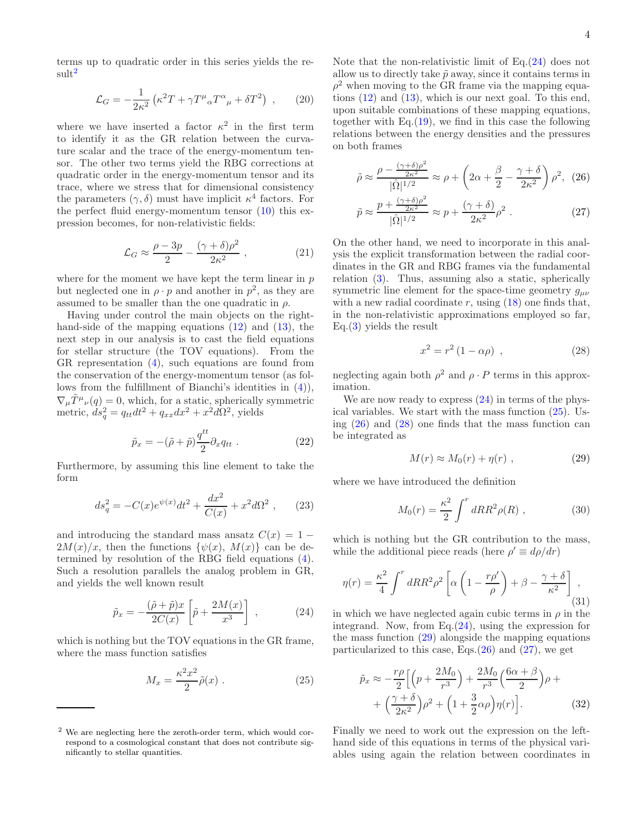terms up to quadratic order in this series yields the re-sult<sup>[2](#page-3-0)</sup>

<span id="page-3-6"></span>
$$
\mathcal{L}_G = -\frac{1}{2\kappa^2} \left( \kappa^2 T + \gamma T^\mu{}_\alpha T^\alpha{}_\mu + \delta T^2 \right) , \qquad (20)
$$

where we have inserted a factor  $\kappa^2$  in the first term to identify it as the GR relation between the curvature scalar and the trace of the energy-momentum tensor. The other two terms yield the RBG corrections at quadratic order in the energy-momentum tensor and its trace, where we stress that for dimensional consistency the parameters  $(\gamma, \delta)$  must have implicit  $\kappa^4$  factors. For the perfect fluid energy-momentum tensor [\(10\)](#page-2-2) this expression becomes, for non-relativistic fields:

$$
\mathcal{L}_G \approx \frac{\rho - 3p}{2} - \frac{(\gamma + \delta)\rho^2}{2\kappa^2} \,,\tag{21}
$$

where for the moment we have kept the term linear in  $p$ but neglected one in  $\rho \cdot p$  and another in  $p^2$ , as they are assumed to be smaller than the one quadratic in  $\rho$ .

Having under control the main objects on the righthand-side of the mapping equations  $(12)$  and  $(13)$ , the next step in our analysis is to cast the field equations for stellar structure (the TOV equations). From the GR representation [\(4\)](#page-1-2), such equations are found from the conservation of the energy-momentum tensor (as follows from the fulfillment of Bianchi's identities in [\(4\)](#page-1-2)),  $\nabla_{\mu}\tilde{T}^{\mu}_{\nu}(q) = 0$ , which, for a static, spherically symmetric metric,  $ds_q^2 = q_{tt}dt^2 + q_{xx}dx^2 + x^2d\Omega^2$ , yields

$$
\tilde{p}_x = -(\tilde{\rho} + \tilde{p}) \frac{q^{tt}}{2} \partial_x q_{tt} . \qquad (22)
$$

Furthermore, by assuming this line element to take the form

$$
ds_q^2 = -C(x)e^{\psi(x)}dt^2 + \frac{dx^2}{C(x)} + x^2d\Omega^2 ,\qquad (23)
$$

and introducing the standard mass ansatz  $C(x) = 1 2M(x)/x$ , then the functions  $\{\psi(x), M(x)\}\)$  can be determined by resolution of the RBG field equations [\(4\)](#page-1-2). Such a resolution parallels the analog problem in GR, and yields the well known result

<span id="page-3-1"></span>
$$
\tilde{p}_x = -\frac{(\tilde{\rho} + \tilde{p})x}{2C(x)} \left[ \tilde{p} + \frac{2M(x)}{x^3} \right] , \qquad (24)
$$

which is nothing but the TOV equations in the GR frame, where the mass function satisfies

<span id="page-3-2"></span>
$$
M_x = \frac{\kappa^2 x^2}{2} \tilde{\rho}(x) . \tag{25}
$$

Note that the non-relativistic limit of Eq.[\(24\)](#page-3-1) does not allow us to directly take  $\tilde{p}$  away, since it contains terms in  $\rho^2$  when moving to the GR frame via the mapping equations [\(12\)](#page-2-1) and [\(13\)](#page-2-1), which is our next goal. To this end, upon suitable combinations of these mapping equations, together with Eq. $(19)$ , we find in this case the following relations between the energy densities and the pressures on both frames

<span id="page-3-3"></span>
$$
\tilde{\rho} \approx \frac{\rho - \frac{(\gamma + \delta)\rho^2}{2\kappa^2}}{|\hat{\Omega}|^{1/2}} \approx \rho + \left(2\alpha + \frac{\beta}{2} - \frac{\gamma + \delta}{2\kappa^2}\right)\rho^2, (26)
$$

$$
\tilde{p} \approx \frac{p + \frac{(\gamma + \delta)\rho^2}{2\kappa^2}}{|\hat{\Omega}|^{1/2}} \approx p + \frac{(\gamma + \delta)}{2\kappa^2} \rho^2 \ . \tag{27}
$$

On the other hand, we need to incorporate in this analysis the explicit transformation between the radial coordinates in the GR and RBG frames via the fundamental relation [\(3\)](#page-1-3). Thus, assuming also a static, spherically symmetric line element for the space-time geometry  $g_{\mu\nu}$ with a new radial coordinate r, using  $(18)$  one finds that, in the non-relativistic approximations employed so far,  $Eq.(3)$  $Eq.(3)$  yields the result

<span id="page-3-4"></span>
$$
x^2 = r^2 (1 - \alpha \rho) \tag{28}
$$

neglecting again both  $\rho^2$  and  $\rho \cdot P$  terms in this approximation.

We are now ready to express  $(24)$  in terms of the physical variables. We start with the mass function [\(25\)](#page-3-2). Using  $(26)$  and  $(28)$  one finds that the mass function can be integrated as

<span id="page-3-5"></span>
$$
M(r) \approx M_0(r) + \eta(r) \tag{29}
$$

where we have introduced the definition

$$
M_0(r) = \frac{\kappa^2}{2} \int^r dR R^2 \rho(R) , \qquad (30)
$$

which is nothing but the GR contribution to the mass, while the additional piece reads (here  $\rho' \equiv d\rho/dr$ )

$$
\eta(r) = \frac{\kappa^2}{4} \int^r dR R^2 \rho^2 \left[ \alpha \left( 1 - \frac{r \rho'}{\rho} \right) + \beta - \frac{\gamma + \delta}{\kappa^2} \right],
$$
\n(31)

in which we have neglected again cubic terms in  $\rho$  in the integrand. Now, from Eq. $(24)$ , using the expression for the mass function  $(29)$  alongside the mapping equations particularized to this case, Eqs. $(26)$  and  $(27)$ , we get

$$
\tilde{p}_x \approx -\frac{r\rho}{2} \Big[ \Big( p + \frac{2M_0}{r^3} \Big) + \frac{2M_0}{r^3} \Big( \frac{6\alpha + \beta}{2} \Big) \rho + \\ + \Big( \frac{\gamma + \delta}{2\kappa^2} \Big) \rho^2 + \Big( 1 + \frac{3}{2}\alpha\rho \Big) \eta(r) \Big]. \tag{32}
$$

Finally we need to work out the expression on the lefthand side of this equations in terms of the physical variables using again the relation between coordinates in

<span id="page-3-0"></span><sup>2</sup> We are neglecting here the zeroth-order term, which would correspond to a cosmological constant that does not contribute significantly to stellar quantities.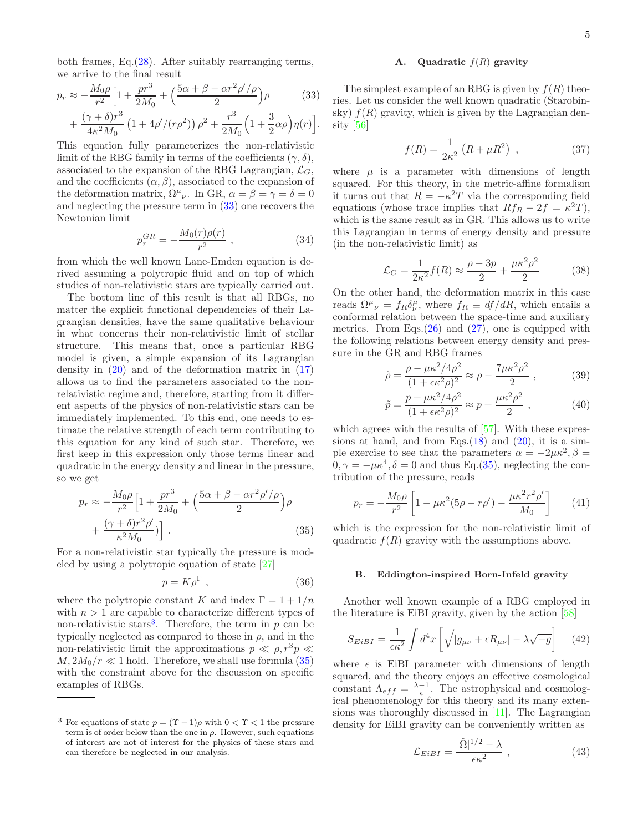both frames, Eq.[\(28\)](#page-3-4). After suitably rearranging terms, we arrive to the final result

<span id="page-4-0"></span>
$$
p_r \approx -\frac{M_0 \rho}{r^2} \Big[ 1 + \frac{pr^3}{2M_0} + \Big( \frac{5\alpha + \beta - \alpha r^2 \rho' / \rho}{2} \Big) \rho \qquad (33)
$$

$$
+ \frac{(\gamma + \delta)r^3}{4\kappa^2 M_0} \left( 1 + 4\rho' / (r\rho^2) \right) \rho^2 + \frac{r^3}{2M_0} \Big( 1 + \frac{3}{2}\alpha \rho \Big) \eta(r) \Big].
$$

This equation fully parameterizes the non-relativistic limit of the RBG family in terms of the coefficients  $(\gamma, \delta)$ , associated to the expansion of the RBG Lagrangian,  $\mathcal{L}_G$ , and the coefficients  $(\alpha, \beta)$ , associated to the expansion of the deformation matrix,  $\Omega^{\mu}{}_{\nu}$ . In GR,  $\alpha = \beta = \gamma = \delta = 0$ and neglecting the pressure term in [\(33\)](#page-4-0) one recovers the Newtonian limit

$$
p_r^{GR} = -\frac{M_0(r)\rho(r)}{r^2} \,, \tag{34}
$$

from which the well known Lane-Emden equation is derived assuming a polytropic fluid and on top of which studies of non-relativistic stars are typically carried out.

The bottom line of this result is that all RBGs, no matter the explicit functional dependencies of their Lagrangian densities, have the same qualitative behaviour in what concerns their non-relativistic limit of stellar structure. This means that, once a particular RBG model is given, a simple expansion of its Lagrangian density in  $(20)$  and of the deformation matrix in  $(17)$ allows us to find the parameters associated to the nonrelativistic regime and, therefore, starting from it different aspects of the physics of non-relativistic stars can be immediately implemented. To this end, one needs to estimate the relative strength of each term contributing to this equation for any kind of such star. Therefore, we first keep in this expression only those terms linear and quadratic in the energy density and linear in the pressure, so we get

<span id="page-4-2"></span>
$$
p_r \approx -\frac{M_0 \rho}{r^2} \left[ 1 + \frac{pr^3}{2M_0} + \left( \frac{5\alpha + \beta - \alpha r^2 \rho'/\rho}{2} \right) \rho + \frac{(\gamma + \delta)r^2 \rho'}{\kappa^2 M_0} \right].
$$
\n(35)

For a non-relativistic star typically the pressure is modeled by using a polytropic equation of state [\[27\]](#page-6-24)

$$
p = K\rho^{\Gamma} \t{,} \t(36)
$$

where the polytropic constant K and index  $\Gamma = 1 + 1/n$ with  $n > 1$  are capable to characterize different types of non-relativistic stars<sup>[3](#page-4-1)</sup>. Therefore, the term in  $p$  can be typically neglected as compared to those in  $\rho$ , and in the non-relativistic limit the approximations  $p \ll \rho, r^3p \ll$  $M, 2M_0/r \ll 1$  hold. Therefore, we shall use formula [\(35\)](#page-4-2) with the constraint above for the discussion on specific examples of RBGs.

#### A. Quadratic  $f(R)$  gravity

The simplest example of an RBG is given by  $f(R)$  theories. Let us consider the well known quadratic (Starobinsky)  $f(R)$  gravity, which is given by the Lagrangian density [\[56\]](#page-6-39)

$$
f(R) = \frac{1}{2\kappa^2} \left( R + \mu R^2 \right) , \qquad (37)
$$

where  $\mu$  is a parameter with dimensions of length squared. For this theory, in the metric-affine formalism it turns out that  $R = -\kappa^2 T$  via the corresponding field equations (whose trace implies that  $Rf_R - 2f = \kappa^2 T$ ), which is the same result as in GR. This allows us to write this Lagrangian in terms of energy density and pressure (in the non-relativistic limit) as

$$
\mathcal{L}_G = \frac{1}{2\kappa^2} f(R) \approx \frac{\rho - 3p}{2} + \frac{\mu \kappa^2 \rho^2}{2} \tag{38}
$$

On the other hand, the deformation matrix in this case reads  $\Omega^{\mu}{}_{\nu} = f_R \delta^{\mu}_{\nu}$ , where  $f_R \equiv df/dR$ , which entails a conformal relation between the space-time and auxiliary metrics. From Eqs. $(26)$  and  $(27)$ , one is equipped with the following relations between energy density and pressure in the GR and RBG frames

$$
\tilde{\rho} = \frac{\rho - \mu \kappa^2 / 4\rho^2}{(1 + \epsilon \kappa^2 \rho)^2} \approx \rho - \frac{7\mu \kappa^2 \rho^2}{2} ,\qquad (39)
$$

$$
\tilde{p} = \frac{p + \mu \kappa^2 / 4\rho^2}{(1 + \epsilon \kappa^2 \rho)^2} \approx p + \frac{\mu \kappa^2 \rho^2}{2} , \qquad (40)
$$

which agrees with the results of  $[57]$ . With these expressions at hand, and from Eqs. $(18)$  and  $(20)$ , it is a simple exercise to see that the parameters  $\alpha = -2\mu\kappa^2$ ,  $\beta =$  $0, \gamma = -\mu \kappa^4, \delta = 0$  and thus Eq.[\(35\)](#page-4-2), neglecting the contribution of the pressure, reads

$$
p_r = -\frac{M_0 \rho}{r^2} \left[ 1 - \mu \kappa^2 (5\rho - r\rho') - \frac{\mu \kappa^2 r^2 \rho'}{M_0} \right] \tag{41}
$$

which is the expression for the non-relativistic limit of quadratic  $f(R)$  gravity with the assumptions above.

#### B. Eddington-inspired Born-Infeld gravity

Another well known example of a RBG employed in the literature is EiBI gravity, given by the action [\[58\]](#page-6-41)

$$
S_{EiBI} = \frac{1}{\epsilon \kappa^2} \int d^4x \left[ \sqrt{|g_{\mu\nu} + \epsilon R_{\mu\nu}|} - \lambda \sqrt{-g} \right] \tag{42}
$$

where  $\epsilon$  is EiBI parameter with dimensions of length squared, and the theory enjoys an effective cosmological constant  $\Lambda_{eff} = \frac{\lambda - 1}{\epsilon}$ . The astrophysical and cosmological phenomenology for this theory and its many extensions was thoroughly discussed in [\[11](#page-6-32)]. The Lagrangian density for EiBI gravity can be conveniently written as

<span id="page-4-3"></span>
$$
\mathcal{L}_{EiBI} = \frac{|\hat{\Omega}|^{1/2} - \lambda}{\epsilon \kappa^2} \,, \tag{43}
$$

<span id="page-4-1"></span><sup>&</sup>lt;sup>3</sup> For equations of state  $p = (Y - 1)\rho$  with  $0 < Y < 1$  the pressure term is of order below than the one in  $\rho$ . However, such equations of interest are not of interest for the physics of these stars and can therefore be neglected in our analysis.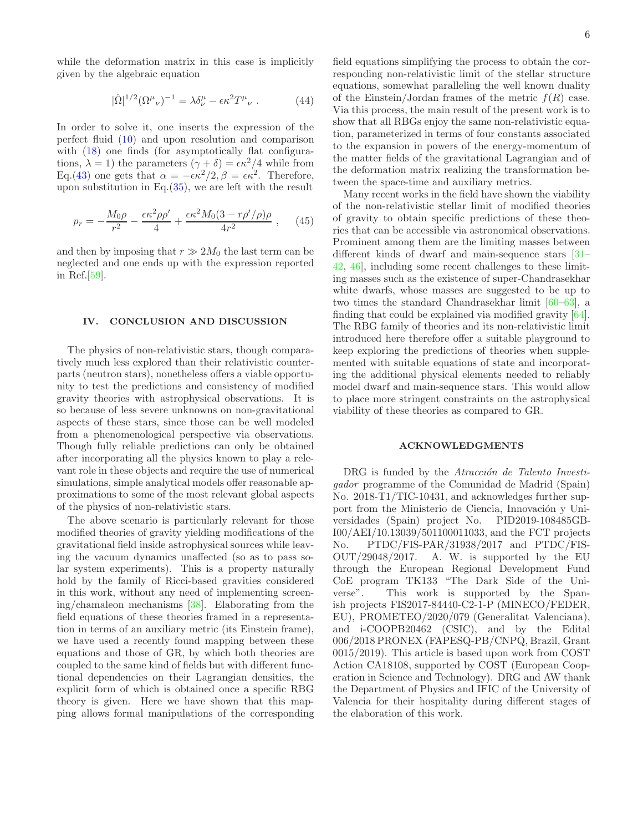while the deformation matrix in this case is implicitly given by the algebraic equation

$$
|\hat{\Omega}|^{1/2} (\Omega^{\mu}{}_{\nu})^{-1} = \lambda \delta^{\mu}_{\nu} - \epsilon \kappa^2 T^{\mu}{}_{\nu} . \tag{44}
$$

In order to solve it, one inserts the expression of the perfect fluid [\(10\)](#page-2-2) and upon resolution and comparison with  $(18)$  one finds (for asymptotically flat configurations,  $\lambda = 1$ ) the parameters  $(\gamma + \delta) = \epsilon \kappa^2/4$  while from Eq.[\(43\)](#page-4-3) one gets that  $\alpha = -\epsilon \kappa^2/2$ ,  $\beta = \epsilon \kappa^2$ . Therefore, upon substitution in Eq.[\(35\)](#page-4-2), we are left with the result

$$
p_r = -\frac{M_0 \rho}{r^2} - \frac{\epsilon \kappa^2 \rho \rho'}{4} + \frac{\epsilon \kappa^2 M_0 (3 - r \rho'/\rho) \rho}{4r^2} , \quad (45)
$$

and then by imposing that  $r \gg 2M_0$  the last term can be neglected and one ends up with the expression reported in Ref.[\[59\]](#page-6-42).

## IV. CONCLUSION AND DISCUSSION

The physics of non-relativistic stars, though comparatively much less explored than their relativistic counterparts (neutron stars), nonetheless offers a viable opportunity to test the predictions and consistency of modified gravity theories with astrophysical observations. It is so because of less severe unknowns on non-gravitational aspects of these stars, since those can be well modeled from a phenomenological perspective via observations. Though fully reliable predictions can only be obtained after incorporating all the physics known to play a relevant role in these objects and require the use of numerical simulations, simple analytical models offer reasonable approximations to some of the most relevant global aspects of the physics of non-relativistic stars.

The above scenario is particularly relevant for those modified theories of gravity yielding modifications of the gravitational field inside astrophysical sources while leaving the vacuum dynamics unaffected (so as to pass solar system experiments). This is a property naturally hold by the family of Ricci-based gravities considered in this work, without any need of implementing screening/chamaleon mechanisms [\[38\]](#page-6-19). Elaborating from the field equations of these theories framed in a representation in terms of an auxiliary metric (its Einstein frame), we have used a recently found mapping between these equations and those of GR, by which both theories are coupled to the same kind of fields but with different functional dependencies on their Lagrangian densities, the explicit form of which is obtained once a specific RBG theory is given. Here we have shown that this mapping allows formal manipulations of the corresponding

field equations simplifying the process to obtain the corresponding non-relativistic limit of the stellar structure equations, somewhat paralleling the well known duality of the Einstein/Jordan frames of the metric  $f(R)$  case. Via this process, the main result of the present work is to show that all RBGs enjoy the same non-relativistic equation, parameterized in terms of four constants associated to the expansion in powers of the energy-momentum of the matter fields of the gravitational Lagrangian and of the deformation matrix realizing the transformation between the space-time and auxiliary metrics.

Many recent works in the field have shown the viability of the non-relativistic stellar limit of modified theories of gravity to obtain specific predictions of these theories that can be accessible via astronomical observations. Prominent among them are the limiting masses between different kinds of dwarf and main-sequence stars [\[31](#page-6-43)– [42](#page-6-23), [46\]](#page-6-28), including some recent challenges to these limiting masses such as the existence of super-Chandrasekhar white dwarfs, whose masses are suggested to be up to two times the standard Chandrasekhar limit [\[60](#page-6-44)[–63](#page-6-45)], a finding that could be explained via modified gravity [\[64\]](#page-6-46). The RBG family of theories and its non-relativistic limit introduced here therefore offer a suitable playground to keep exploring the predictions of theories when supplemented with suitable equations of state and incorporating the additional physical elements needed to reliably model dwarf and main-sequence stars. This would allow to place more stringent constraints on the astrophysical viability of these theories as compared to GR.

## ACKNOWLEDGMENTS

DRG is funded by the Atracción de Talento Investigador programme of the Comunidad de Madrid (Spain) No. 2018-T1/TIC-10431, and acknowledges further support from the Ministerio de Ciencia, Innovación y Universidades (Spain) project No. PID2019-108485GB-I00/AEI/10.13039/501100011033, and the FCT projects No. PTDC/FIS-PAR/31938/2017 and PTDC/FIS-OUT/29048/2017. A. W. is supported by the EU through the European Regional Development Fund CoE program TK133 "The Dark Side of the Universe". This work is supported by the Spanish projects FIS2017-84440-C2-1-P (MINECO/FEDER, EU), PROMETEO/2020/079 (Generalitat Valenciana), and i-COOPB20462 (CSIC), and by the Edital 006/2018 PRONEX (FAPESQ-PB/CNPQ, Brazil, Grant 0015/2019). This article is based upon work from COST Action CA18108, supported by COST (European Cooperation in Science and Technology). DRG and AW thank the Department of Physics and IFIC of the University of Valencia for their hospitality during different stages of the elaboration of this work.